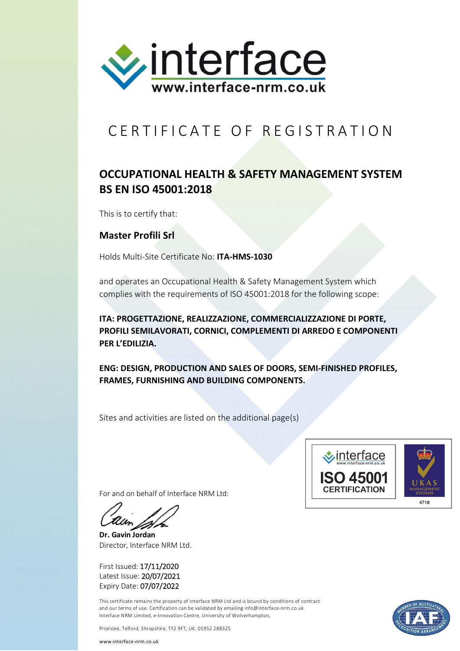

## CERTIFICATE OF REGISTRATION

## **OCCUPATIONAL HEALTH & SAFETY MANAGEMENT SYSTEM BS EN ISO 45001:2018**

This is to certify that:

## **Master Profili Srl**

Holds Multi-Site Certificate No: **ITA-HMS-1030**

and operates an Occupational Health & Safety Management System which complies with the requirements of ISO 45001:2018 for the following scope:

**ITA: PROGETTAZIONE, REALIZZAZIONE, COMMERCIALIZZAZIONE DI PORTE, PROFILI SEMILAVORATI, CORNICI, COMPLEMENTI DI ARREDO E COMPONENTI PER L'EDILIZIA.**

**ENG: DESIGN, PRODUCTION AND SALES OF DOORS, SEMI-FINISHED PROFILES, FRAMES, FURNISHING AND BUILDING COMPONENTS.**

Sites and activities are listed on the additional page(s)



For and on behalf of Interface NRM Ltd:

**Dr. Gavin Jordan** Director, Interface NRM Ltd.

First Issued: 17/11/2020 Latest Issue: 20/07/2021 Expiry Date: 07/07/2022

This certificate remains the property of Interface NRM Ltd and is bound by conditions of contract and our terms of use. Certification can be validated by emailing info@interface-nrm.co.uk Interface NRM Limited, e-Innovation Centre, University of Wolverhampton,

Priorslee, Telford, Shropshire, TF2 9FT, UK. 01952 288325

www.interface-nrm.co.uk